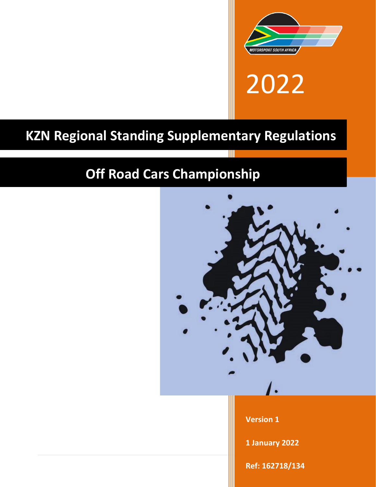

2022

# **KZN Regional Standing Supplementary Regulations**

# **Off Road Cars Championship**

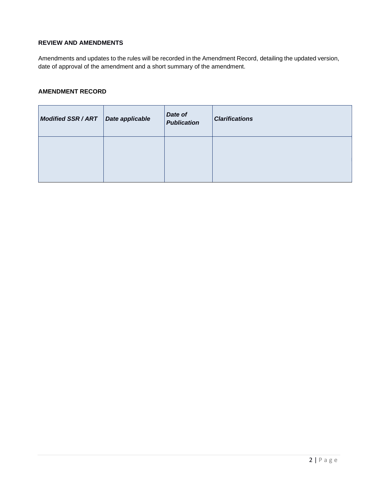# **REVIEW AND AMENDMENTS**

Amendments and updates to the rules will be recorded in the Amendment Record, detailing the updated version, date of approval of the amendment and a short summary of the amendment.

# **AMENDMENT RECORD**

| <b>Modified SSR/ART</b> | Date applicable | Date of<br><b>Publication</b> | <b>Clarifications</b> |
|-------------------------|-----------------|-------------------------------|-----------------------|
|                         |                 |                               |                       |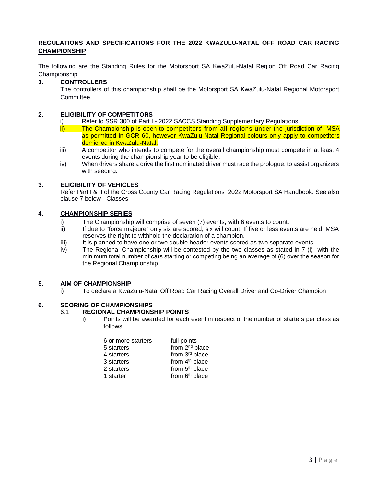## **REGULATIONS AND SPECIFICATIONS FOR THE 2022 KWAZULU-NATAL OFF ROAD CAR RACING CHAMPIONSHIP**

The following are the Standing Rules for the Motorsport SA KwaZulu-Natal Region Off Road Car Racing Championship

## **1. CONTROLLERS**

The controllers of this championship shall be the Motorsport SA KwaZulu-Natal Regional Motorsport Committee.

### **2. ELIGIBILITY OF COMPETITORS**

- Refer to SSR 300 of Part I 2022 SACCS Standing Supplementary Regulations.
- ii) The Championship is open to competitors from all regions under the jurisdiction of MSA as permitted in GCR 60, however KwaZulu-Natal Regional colours only apply to competitors domiciled in KwaZulu-Natal.
- iii) A competitor who intends to compete for the overall championship must compete in at least 4 events during the championship year to be eligible.
- iv) When drivers share a drive the first nominated driver must race the prologue, to assist organizers with seeding.

#### **3. ELIGIBILITY OF VEHICLES**

Refer Part I & II of the Cross County Car Racing Regulations 2022 Motorsport SA Handbook. See also clause 7 below - Classes

## **4. CHAMPIONSHIP SERIES**

- i) The Championship will comprise of seven (7) events, with 6 events to count.
- ii) If due to "force majeure" only six are scored, six will count. If five or less events are held, MSA reserves the right to withhold the declaration of a champion.
- iii) It is planned to have one or two double header events scored as two separate events.
- iv) The Regional Championship will be contested by the two classes as stated in 7 (i) with the minimum total number of cars starting or competing being an average of (6) over the season for the Regional Championship

#### **5. AIM OF CHAMPIONSHIP**

To declare a KwaZulu-Natal Off Road Car Racing Overall Driver and Co-Driver Champion

# **6. SCORING OF CHAMPIONSHIPS**

# 6.1 **REGIONAL CHAMPIONSHIP POINTS**

i) Points will be awarded for each event in respect of the number of starters per class as follows

| 6 or more starters | full points                |
|--------------------|----------------------------|
| 5 starters         | from 2 <sup>nd</sup> place |
| 4 starters         | from 3rd place             |
| 3 starters         | from 4 <sup>th</sup> place |
| 2 starters         | from 5 <sup>th</sup> place |
| 1 starter          | from 6 <sup>th</sup> place |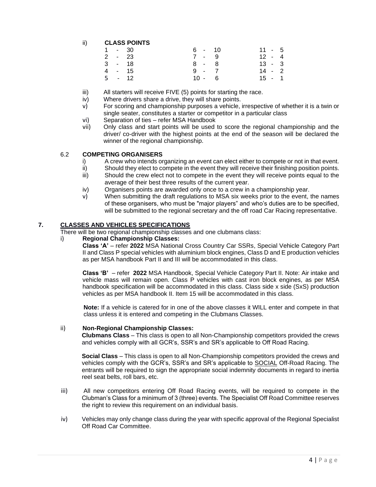# ii) **CLASS POINTS**

| 1 - 30 |  | 6 - 10   | $11 - 5$ |  |
|--------|--|----------|----------|--|
| 2 - 23 |  | $7 - 9$  | $12 - 4$ |  |
| 3 - 18 |  | 8 - 8    | $13 - 3$ |  |
| 4 - 15 |  | $9 - 7$  | $14 - 2$ |  |
| 5 - 12 |  | $10 - 6$ | $15 - 1$ |  |
|        |  |          |          |  |

- iii) All starters will receive FIVE (5) points for starting the race.
- iv) Where drivers share a drive, they will share points.
- v) For scoring and championship purposes a vehicle, irrespective of whether it is a twin or single seater, constitutes a starter or competitor in a particular class
- vi) Separation of ties refer MSA Handbook
- vii) Only class and start points will be used to score the regional championship and the driver/ co-driver with the highest points at the end of the season will be declared the winner of the regional championship.

#### 6.2 **COMPETING ORGANISERS**

- i) A crew who intends organizing an event can elect either to compete or not in that event.
- ii) Should they elect to compete in the event they will receive their finishing position points.
- iii) Should the crew elect not to compete in the event they will receive points equal to the average of their best three results of the current year.
- iv) Organisers points are awarded only once to a crew in a championship year.
- v) When submitting the draft regulations to MSA six weeks prior to the event, the names of these organisers, who must be "major players" and who's duties are to be specified, will be submitted to the regional secretary and the off road Car Racing representative.

### **7. CLASSES AND VEHICLES SPECIFICATIONS**

There will be two regional championship classes and one clubmans class:

#### i) **Regional Championship Classes:**

**Class 'A'** – refer **2022** MSA National Cross Country Car SSRs, Special Vehicle Category Part II and Class P special vehicles with aluminium block engines, Class D and E production vehicles as per MSA handbook Part II and III will be accommodated in this class.

**Class 'B'** – refer **2022** MSA Handbook, Special Vehicle Category Part II. Note: Air intake and vehicle mass will remain open. Class P vehicles with cast iron block engines, as per MSA handbook specification will be accommodated in this class. Class side x side (SxS) production vehicles as per MSA handbook II. Item 15 will be accommodated in this class.

**Note:** If a vehicle is catered for in one of the above classes it WILL enter and compete in that class unless it is entered and competing in the Clubmans Classes.

#### ii) **Non-Regional Championship Classes:**

**Clubmans Class** – This class is open to all Non-Championship competitors provided the crews and vehicles comply with all GCR's, SSR's and SR's applicable to Off Road Racing.

**Social Class** – This class is open to all Non-Championship competitors provided the crews and vehicles comply with the GCR's, SSR's and SR's applicable to SOCIAL Off-Road Racing. The entrants will be required to sign the appropriate social indemnity documents in regard to inertia reel seat belts, roll bars, etc.

- iii) All new competitors entering Off Road Racing events, will be required to compete in the Clubman's Class for a minimum of 3 (three) events. The Specialist Off Road Committee reserves the right to review this requirement on an individual basis.
- iv) Vehicles may only change class during the year with specific approval of the Regional Specialist Off Road Car Committee.